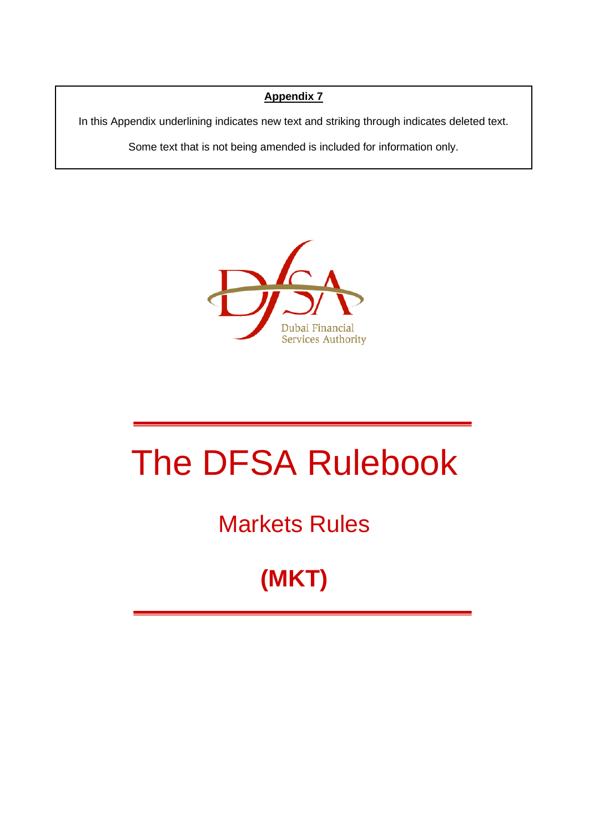## **Appendix 7**

In this Appendix underlining indicates new text and striking through indicates deleted text.

Some text that is not being amended is included for information only.



# The DFSA Rulebook

## Markets Rules

## **(MKT)**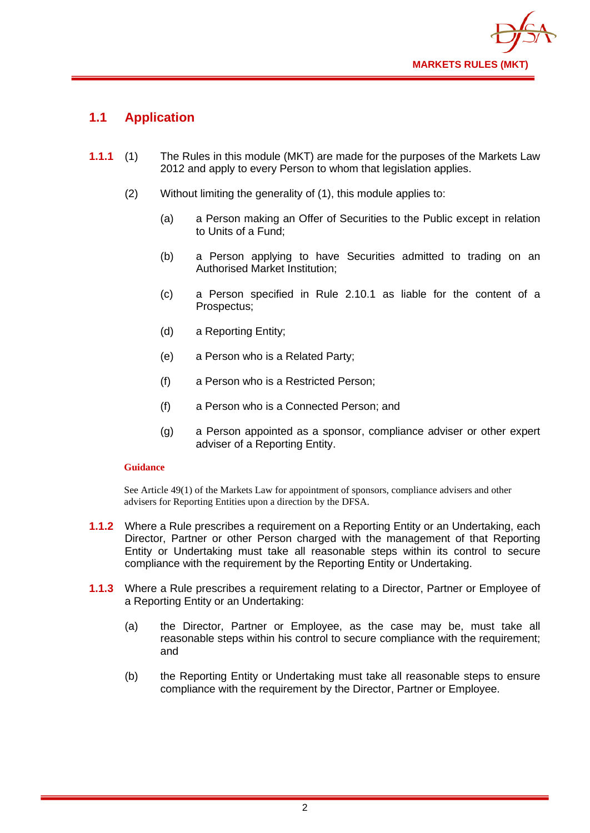

## **1.1 Application**

- **1.1.1** (1) The Rules in this module (MKT) are made for the purposes of the Markets Law 2012 and apply to every Person to whom that legislation applies.
	- (2) Without limiting the generality of (1), this module applies to:
		- (a) a Person making an Offer of Securities to the Public except in relation to Units of a Fund;
		- (b) a Person applying to have Securities admitted to trading on an Authorised Market Institution;
		- (c) a Person specified in Rule 2.10.1 as liable for the content of a Prospectus;
		- (d) a Reporting Entity;
		- (e) a Person who is a Related Party;
		- (f) a Person who is a Restricted Person;
		- (f) a Person who is a Connected Person; and
		- (g) a Person appointed as a sponsor, compliance adviser or other expert adviser of a Reporting Entity.

#### **Guidance**

See Article 49(1) of the Markets Law for appointment of sponsors, compliance advisers and other advisers for Reporting Entities upon a direction by the DFSA.

- **1.1.2** Where a Rule prescribes a requirement on a Reporting Entity or an Undertaking, each Director, Partner or other Person charged with the management of that Reporting Entity or Undertaking must take all reasonable steps within its control to secure compliance with the requirement by the Reporting Entity or Undertaking.
- **1.1.3** Where a Rule prescribes a requirement relating to a Director, Partner or Employee of a Reporting Entity or an Undertaking:
	- (a) the Director, Partner or Employee, as the case may be, must take all reasonable steps within his control to secure compliance with the requirement; and
	- (b) the Reporting Entity or Undertaking must take all reasonable steps to ensure compliance with the requirement by the Director, Partner or Employee.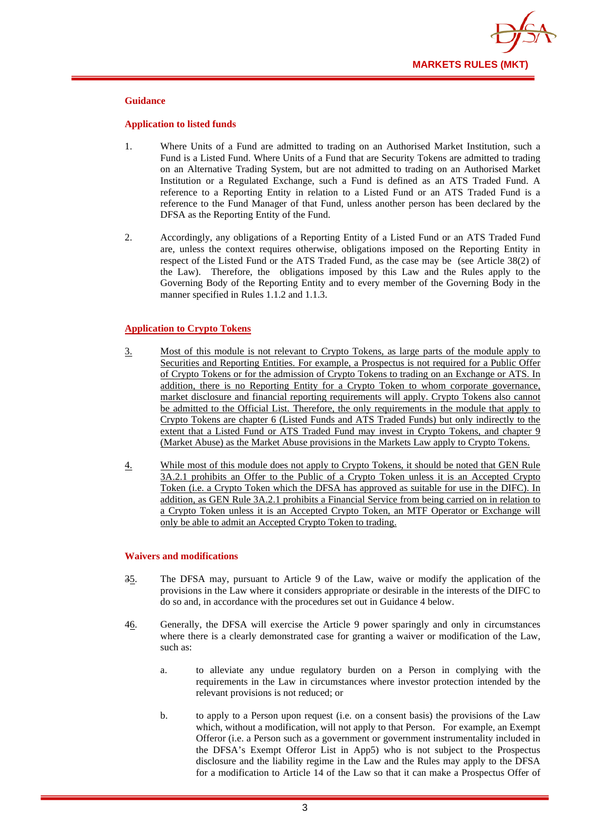

#### **Guidance**

#### **Application to listed funds**

- 1. Where Units of a Fund are admitted to trading on an Authorised Market Institution, such a Fund is a Listed Fund. Where Units of a Fund that are Security Tokens are admitted to trading on an Alternative Trading System, but are not admitted to trading on an Authorised Market Institution or a Regulated Exchange, such a Fund is defined as an ATS Traded Fund. A reference to a Reporting Entity in relation to a Listed Fund or an ATS Traded Fund is a reference to the Fund Manager of that Fund, unless another person has been declared by the DFSA as the Reporting Entity of the Fund.
- 2. Accordingly, any obligations of a Reporting Entity of a Listed Fund or an ATS Traded Fund are, unless the context requires otherwise, obligations imposed on the Reporting Entity in respect of the Listed Fund or the ATS Traded Fund, as the case may be (see Article 38(2) of the Law). Therefore, the obligations imposed by this Law and the Rules apply to the Governing Body of the Reporting Entity and to every member of the Governing Body in the manner specified in Rules 1.1.2 and 1.1.3.

#### **Application to Crypto Tokens**

- 3. Most of this module is not relevant to Crypto Tokens, as large parts of the module apply to Securities and Reporting Entities. For example, a Prospectus is not required for a Public Offer of Crypto Tokens or for the admission of Crypto Tokens to trading on an Exchange or ATS. In addition, there is no Reporting Entity for a Crypto Token to whom corporate governance, market disclosure and financial reporting requirements will apply. Crypto Tokens also cannot be admitted to the Official List. Therefore, the only requirements in the module that apply to Crypto Tokens are chapter 6 (Listed Funds and ATS Traded Funds) but only indirectly to the extent that a Listed Fund or ATS Traded Fund may invest in Crypto Tokens, and chapter 9 (Market Abuse) as the Market Abuse provisions in the Markets Law apply to Crypto Tokens.
- 4. While most of this module does not apply to Crypto Tokens, it should be noted that GEN Rule 3A.2.1 prohibits an Offer to the Public of a Crypto Token unless it is an Accepted Crypto Token (i.e. a Crypto Token which the DFSA has approved as suitable for use in the DIFC). In addition, as GEN Rule 3A.2.1 prohibits a Financial Service from being carried on in relation to a Crypto Token unless it is an Accepted Crypto Token, an MTF Operator or Exchange will only be able to admit an Accepted Crypto Token to trading.

#### **Waivers and modifications**

- 35. The DFSA may, pursuant to Article 9 of the Law, waive or modify the application of the provisions in the Law where it considers appropriate or desirable in the interests of the DIFC to do so and, in accordance with the procedures set out in Guidance 4 below.
- 46. Generally, the DFSA will exercise the Article 9 power sparingly and only in circumstances where there is a clearly demonstrated case for granting a waiver or modification of the Law, such as:
	- a. to alleviate any undue regulatory burden on a Person in complying with the requirements in the Law in circumstances where investor protection intended by the relevant provisions is not reduced; or
	- b. to apply to a Person upon request (i.e. on a consent basis) the provisions of the Law which, without a modification, will not apply to that Person. For example, an Exempt Offeror (i.e. a Person such as a government or government instrumentality included in the DFSA's Exempt Offeror List in App5) who is not subject to the Prospectus disclosure and the liability regime in the Law and the Rules may apply to the DFSA for a modification to Article 14 of the Law so that it can make a Prospectus Offer of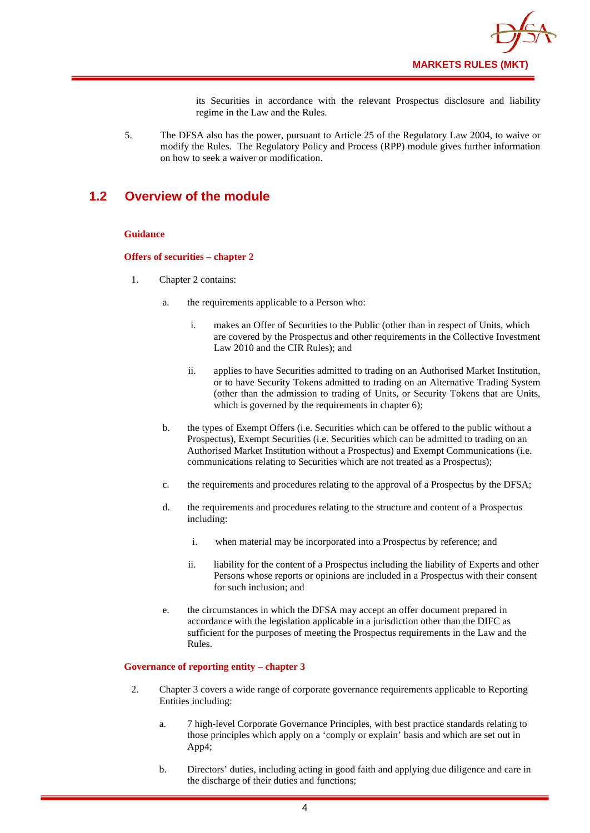

its Securities in accordance with the relevant Prospectus disclosure and liability regime in the Law and the Rules.

5. The DFSA also has the power, pursuant to Article 25 of the Regulatory Law 2004, to waive or modify the Rules. The Regulatory Policy and Process (RPP) module gives further information on how to seek a waiver or modification.

### **1.2 Overview of the module**

#### **Guidance**

#### **Offers of securities – chapter 2**

- 1. Chapter 2 contains:
	- a. the requirements applicable to a Person who:
		- i. makes an Offer of Securities to the Public (other than in respect of Units, which are covered by the Prospectus and other requirements in the Collective Investment Law 2010 and the CIR Rules); and
		- ii. applies to have Securities admitted to trading on an Authorised Market Institution, or to have Security Tokens admitted to trading on an Alternative Trading System (other than the admission to trading of Units, or Security Tokens that are Units, which is governed by the requirements in chapter 6);
	- b. the types of Exempt Offers (i.e. Securities which can be offered to the public without a Prospectus), Exempt Securities (i.e. Securities which can be admitted to trading on an Authorised Market Institution without a Prospectus) and Exempt Communications (i.e. communications relating to Securities which are not treated as a Prospectus);
	- c. the requirements and procedures relating to the approval of a Prospectus by the DFSA;
	- d. the requirements and procedures relating to the structure and content of a Prospectus including:
		- i. when material may be incorporated into a Prospectus by reference; and
		- ii. liability for the content of a Prospectus including the liability of Experts and other Persons whose reports or opinions are included in a Prospectus with their consent for such inclusion; and
	- e. the circumstances in which the DFSA may accept an offer document prepared in accordance with the legislation applicable in a jurisdiction other than the DIFC as sufficient for the purposes of meeting the Prospectus requirements in the Law and the Rules.

#### **Governance of reporting entity – chapter 3**

- 2. Chapter 3 covers a wide range of corporate governance requirements applicable to Reporting Entities including:
	- a. 7 high-level Corporate Governance Principles, with best practice standards relating to those principles which apply on a 'comply or explain' basis and which are set out in App4;
	- b. Directors' duties, including acting in good faith and applying due diligence and care in the discharge of their duties and functions;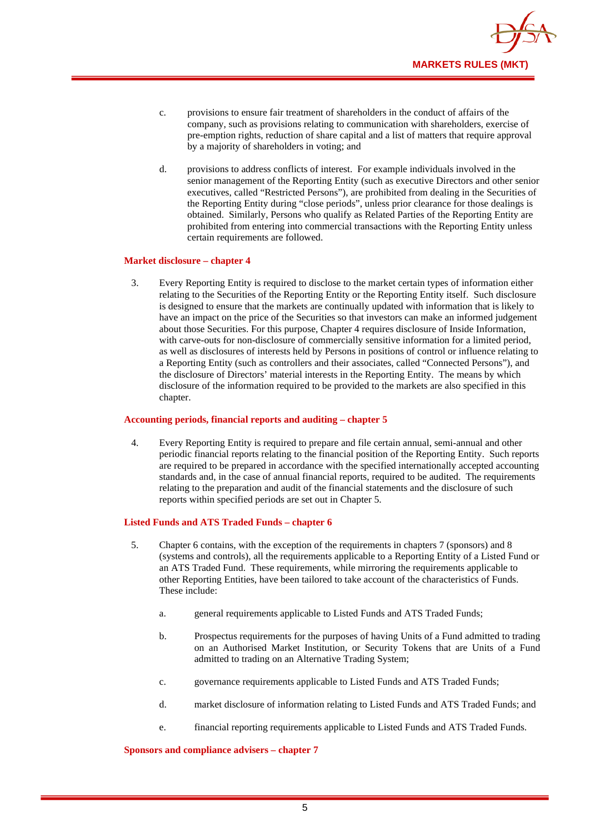

- c. provisions to ensure fair treatment of shareholders in the conduct of affairs of the company, such as provisions relating to communication with shareholders, exercise of pre-emption rights, reduction of share capital and a list of matters that require approval by a majority of shareholders in voting; and
- d. provisions to address conflicts of interest. For example individuals involved in the senior management of the Reporting Entity (such as executive Directors and other senior executives, called "Restricted Persons"), are prohibited from dealing in the Securities of the Reporting Entity during "close periods", unless prior clearance for those dealings is obtained. Similarly, Persons who qualify as Related Parties of the Reporting Entity are prohibited from entering into commercial transactions with the Reporting Entity unless certain requirements are followed.

#### **Market disclosure – chapter 4**

3. Every Reporting Entity is required to disclose to the market certain types of information either relating to the Securities of the Reporting Entity or the Reporting Entity itself. Such disclosure is designed to ensure that the markets are continually updated with information that is likely to have an impact on the price of the Securities so that investors can make an informed judgement about those Securities. For this purpose, Chapter 4 requires disclosure of Inside Information, with carve-outs for non-disclosure of commercially sensitive information for a limited period, as well as disclosures of interests held by Persons in positions of control or influence relating to a Reporting Entity (such as controllers and their associates, called "Connected Persons"), and the disclosure of Directors' material interests in the Reporting Entity. The means by which disclosure of the information required to be provided to the markets are also specified in this chapter.

#### **Accounting periods, financial reports and auditing – chapter 5**

4. Every Reporting Entity is required to prepare and file certain annual, semi-annual and other periodic financial reports relating to the financial position of the Reporting Entity. Such reports are required to be prepared in accordance with the specified internationally accepted accounting standards and, in the case of annual financial reports, required to be audited. The requirements relating to the preparation and audit of the financial statements and the disclosure of such reports within specified periods are set out in Chapter 5.

#### **Listed Funds and ATS Traded Funds – chapter 6**

- 5. Chapter 6 contains, with the exception of the requirements in chapters 7 (sponsors) and 8 (systems and controls), all the requirements applicable to a Reporting Entity of a Listed Fund or an ATS Traded Fund. These requirements, while mirroring the requirements applicable to other Reporting Entities, have been tailored to take account of the characteristics of Funds. These include:
	- a. general requirements applicable to Listed Funds and ATS Traded Funds;
	- b. Prospectus requirements for the purposes of having Units of a Fund admitted to trading on an Authorised Market Institution, or Security Tokens that are Units of a Fund admitted to trading on an Alternative Trading System;
	- c. governance requirements applicable to Listed Funds and ATS Traded Funds;
	- d. market disclosure of information relating to Listed Funds and ATS Traded Funds; and
	- e. financial reporting requirements applicable to Listed Funds and ATS Traded Funds.

**Sponsors and compliance advisers – chapter 7**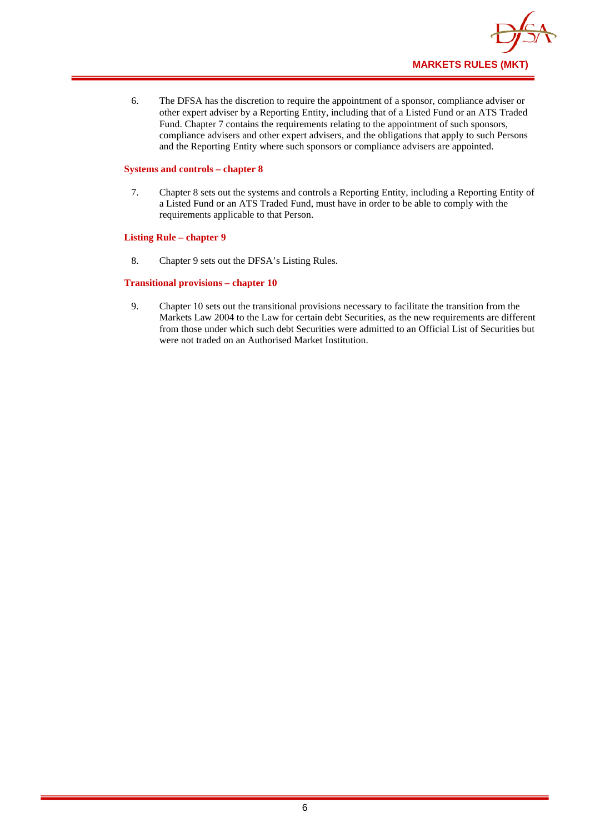

6. The DFSA has the discretion to require the appointment of a sponsor, compliance adviser or other expert adviser by a Reporting Entity, including that of a Listed Fund or an ATS Traded Fund. Chapter 7 contains the requirements relating to the appointment of such sponsors, compliance advisers and other expert advisers, and the obligations that apply to such Persons and the Reporting Entity where such sponsors or compliance advisers are appointed.

#### **Systems and controls – chapter 8**

7. Chapter 8 sets out the systems and controls a Reporting Entity, including a Reporting Entity of a Listed Fund or an ATS Traded Fund, must have in order to be able to comply with the requirements applicable to that Person.

#### **Listing Rule – chapter 9**

8. Chapter 9 sets out the DFSA's Listing Rules.

#### **Transitional provisions – chapter 10**

9. Chapter 10 sets out the transitional provisions necessary to facilitate the transition from the Markets Law 2004 to the Law for certain debt Securities, as the new requirements are different from those under which such debt Securities were admitted to an Official List of Securities but were not traded on an Authorised Market Institution.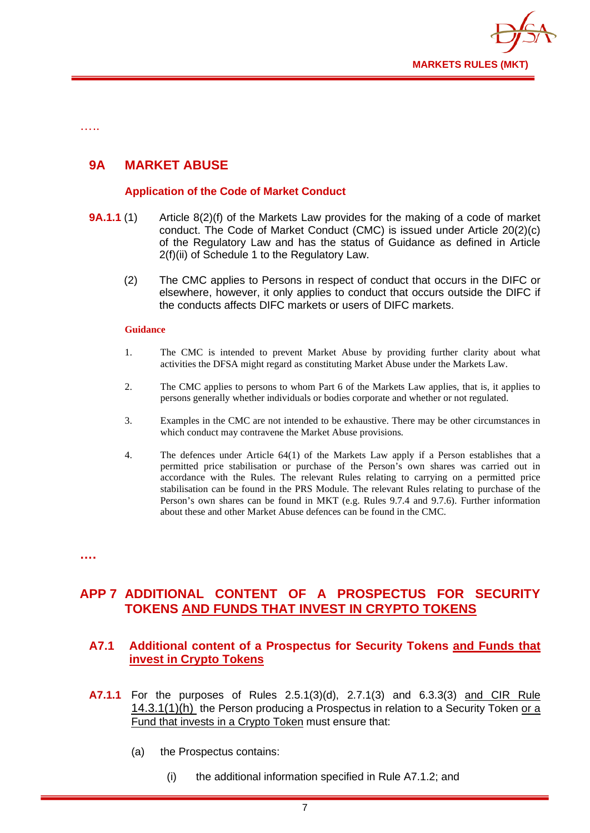

…..

## **9A MARKET ABUSE**

#### **Application of the Code of Market Conduct**

- **9A.1.1** (1) Article 8(2)(f) of the Markets Law provides for the making of a code of market conduct. The Code of Market Conduct (CMC) is issued under Article 20(2)(c) of the Regulatory Law and has the status of Guidance as defined in Article 2(f)(ii) of Schedule 1 to the Regulatory Law.
	- (2) The CMC applies to Persons in respect of conduct that occurs in the DIFC or elsewhere, however, it only applies to conduct that occurs outside the DIFC if the conducts affects DIFC markets or users of DIFC markets.

#### **Guidance**

- 1. The CMC is intended to prevent Market Abuse by providing further clarity about what activities the DFSA might regard as constituting Market Abuse under the Markets Law.
- 2. The CMC applies to persons to whom Part 6 of the Markets Law applies, that is, it applies to persons generally whether individuals or bodies corporate and whether or not regulated.
- 3. Examples in the CMC are not intended to be exhaustive. There may be other circumstances in which conduct may contravene the Market Abuse provisions.
- 4. The defences under Article 64(1) of the Markets Law apply if a Person establishes that a permitted price stabilisation or purchase of the Person's own shares was carried out in accordance with the Rules. The relevant Rules relating to carrying on a permitted price stabilisation can be found in the PRS Module. The relevant Rules relating to purchase of the Person's own shares can be found in MKT (e.g. Rules 9.7.4 and 9.7.6). Further information about these and other Market Abuse defences can be found in the CMC.

**….**

## **APP 7 ADDITIONAL CONTENT OF A PROSPECTUS FOR SECURITY TOKENS AND FUNDS THAT INVEST IN CRYPTO TOKENS**

### **A7.1 Additional content of a Prospectus for Security Tokens and Funds that invest in Crypto Tokens**

- **A7.1.1** For the purposes of Rules 2.5.1(3)(d), 2.7.1(3) and 6.3.3(3) and CIR Rule 14.3.1(1)(h) the Person producing a Prospectus in relation to a Security Token or a Fund that invests in a Crypto Token must ensure that:
	- (a) the Prospectus contains:
		- (i) the additional information specified in Rule A7.1.2; and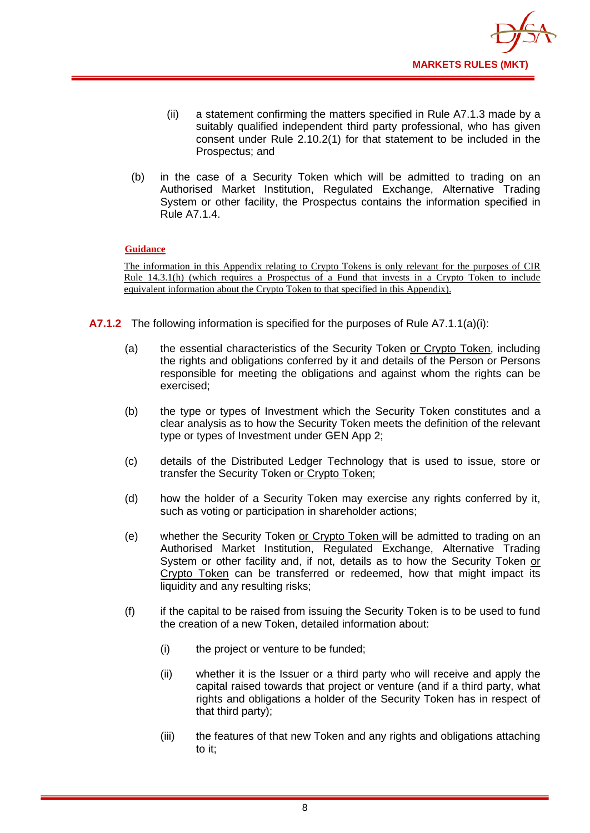

- (ii) a statement confirming the matters specified in Rule A7.1.3 made by a suitably qualified independent third party professional, who has given consent under Rule 2.10.2(1) for that statement to be included in the Prospectus; and
- (b) in the case of a Security Token which will be admitted to trading on an Authorised Market Institution, Regulated Exchange, Alternative Trading System or other facility, the Prospectus contains the information specified in Rule A7.1.4.

#### **Guidance**

The information in this Appendix relating to Crypto Tokens is only relevant for the purposes of CIR Rule 14.3.1(h) (which requires a Prospectus of a Fund that invests in a Crypto Token to include equivalent information about the Crypto Token to that specified in this Appendix).

- **A7.1.2** The following information is specified for the purposes of Rule A7.1.1(a)(i):
	- (a) the essential characteristics of the Security Token or Crypto Token, including the rights and obligations conferred by it and details of the Person or Persons responsible for meeting the obligations and against whom the rights can be exercised;
	- (b) the type or types of Investment which the Security Token constitutes and a clear analysis as to how the Security Token meets the definition of the relevant type or types of Investment under GEN App 2;
	- (c) details of the Distributed Ledger Technology that is used to issue, store or transfer the Security Token or Crypto Token;
	- (d) how the holder of a Security Token may exercise any rights conferred by it, such as voting or participation in shareholder actions;
	- (e) whether the Security Token or Crypto Token will be admitted to trading on an Authorised Market Institution, Regulated Exchange, Alternative Trading System or other facility and, if not, details as to how the Security Token or Crypto Token can be transferred or redeemed, how that might impact its liquidity and any resulting risks;
	- (f) if the capital to be raised from issuing the Security Token is to be used to fund the creation of a new Token, detailed information about:
		- (i) the project or venture to be funded;
		- (ii) whether it is the Issuer or a third party who will receive and apply the capital raised towards that project or venture (and if a third party, what rights and obligations a holder of the Security Token has in respect of that third party);
		- (iii) the features of that new Token and any rights and obligations attaching to it;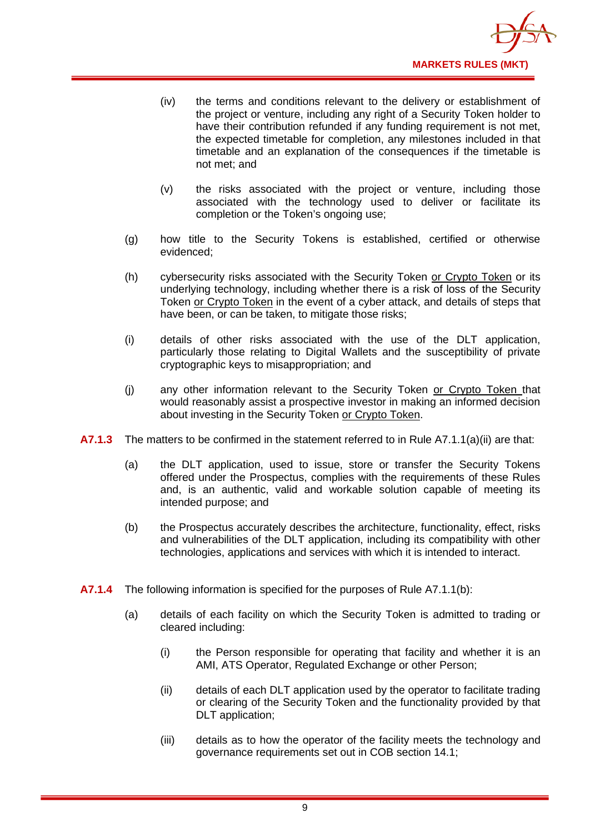

- (iv) the terms and conditions relevant to the delivery or establishment of the project or venture, including any right of a Security Token holder to have their contribution refunded if any funding requirement is not met, the expected timetable for completion, any milestones included in that timetable and an explanation of the consequences if the timetable is not met; and
- (v) the risks associated with the project or venture, including those associated with the technology used to deliver or facilitate its completion or the Token's ongoing use;
- (g) how title to the Security Tokens is established, certified or otherwise evidenced;
- (h) cybersecurity risks associated with the Security Token or Crypto Token or its underlying technology, including whether there is a risk of loss of the Security Token or Crypto Token in the event of a cyber attack, and details of steps that have been, or can be taken, to mitigate those risks;
- (i) details of other risks associated with the use of the DLT application, particularly those relating to Digital Wallets and the susceptibility of private cryptographic keys to misappropriation; and
- (j) any other information relevant to the Security Token or Crypto Token that would reasonably assist a prospective investor in making an informed decision about investing in the Security Token or Crypto Token.
- **A7.1.3** The matters to be confirmed in the statement referred to in Rule A7.1.1(a)(ii) are that:
	- (a) the DLT application, used to issue, store or transfer the Security Tokens offered under the Prospectus, complies with the requirements of these Rules and, is an authentic, valid and workable solution capable of meeting its intended purpose; and
	- (b) the Prospectus accurately describes the architecture, functionality, effect, risks and vulnerabilities of the DLT application, including its compatibility with other technologies, applications and services with which it is intended to interact.
- **A7.1.4** The following information is specified for the purposes of Rule A7.1.1(b):
	- (a) details of each facility on which the Security Token is admitted to trading or cleared including:
		- (i) the Person responsible for operating that facility and whether it is an AMI, ATS Operator, Regulated Exchange or other Person;
		- (ii) details of each DLT application used by the operator to facilitate trading or clearing of the Security Token and the functionality provided by that DLT application;
		- (iii) details as to how the operator of the facility meets the technology and governance requirements set out in COB section 14.1;